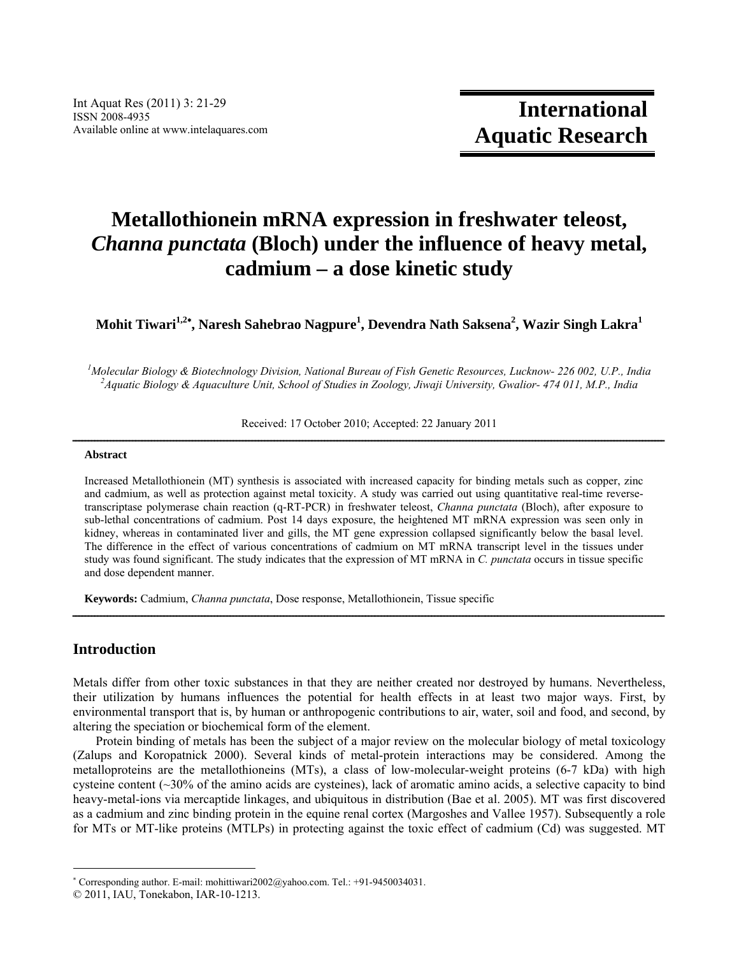# **Metallothionein mRNA expression in freshwater teleost,**  *Channa punctata* **(Bloch) under the influence of heavy metal, cadmium – a dose kinetic study**

**Mohit Tiwari1,2 , Naresh Sahebrao Nagpure<sup>1</sup> , Devendra Nath Saksena2 , Wazir Singh Lakra1** 

*1 Molecular Biology & Biotechnology Division, National Bureau of Fish Genetic Resources, Lucknow- 226 002, U.P., India 2 Aquatic Biology & Aquaculture Unit, School of Studies in Zoology, Jiwaji University, Gwalior- 474 011, M.P., India* 

Received: 17 October 2010; Accepted: 22 January 2011

# $A b struct \mathbf{1} = \mathbf{1} \mathbf{2} = \mathbf{1} \mathbf{3} = \mathbf{4} \mathbf{4} \mathbf{4} + \mathbf{5} \mathbf{4} \mathbf{5}$

Increased Metallothionein (MT) synthesis is associated with increased capacity for binding metals such as copper, zinc and cadmium, as well as protection against metal toxicity. A study was carried out using quantitative real-time reversetranscriptase polymerase chain reaction (q-RT-PCR) in freshwater teleost, *Channa punctata* (Bloch), after exposure to sub-lethal concentrations of cadmium. Post 14 days exposure, the heightened MT mRNA expression was seen only in kidney, whereas in contaminated liver and gills, the MT gene expression collapsed significantly below the basal level. The difference in the effect of various concentrations of cadmium on MT mRNA transcript level in the tissues under study was found significant. The study indicates that the expression of MT mRNA in *C. punctata* occurs in tissue specific and dose dependent manner.

**Keywords:** Cadmium, *Channa punctata*, Dose response, Metallothionein, Tissue specific

# **Introduction**

Metals differ from other toxic substances in that they are neither created nor destroyed by humans. Nevertheless, their utilization by humans influences the potential for health effects in at least two major ways. First, by environmental transport that is, by human or anthropogenic contributions to air, water, soil and food, and second, by altering the speciation or biochemical form of the element.

ــــــــــــــــــــــــــــــــــــــــــــــــــــــــــــــــــــــــــــــــــــــــــــــــــــــــــــــــــــــــــــــــــــــــــــــــــــــــــــــــــــــــــــــــــــــــــــ

Protein binding of metals has been the subject of a major review on the molecular biology of metal toxicology (Zalups and Koropatnick 2000). Several kinds of metal-protein interactions may be considered. Among the metalloproteins are the metallothioneins (MTs), a class of low-molecular-weight proteins (6-7 kDa) with high cysteine content (~30% of the amino acids are cysteines), lack of aromatic amino acids, a selective capacity to bind heavy-metal-ions via mercaptide linkages, and ubiquitous in distribution (Bae et al. 2005). MT was first discovered as a cadmium and zinc binding protein in the equine renal cortex (Margoshes and Vallee 1957). Subsequently a role for MTs or MT-like proteins (MTLPs) in protecting against the toxic effect of cadmium (Cd) was suggested. MT

 Corresponding author. E-mail: mohittiwari2002@yahoo.com. Tel.: +91-9450034031.

<sup>© 2011,</sup> IAU, Tonekabon, IAR-10-1213.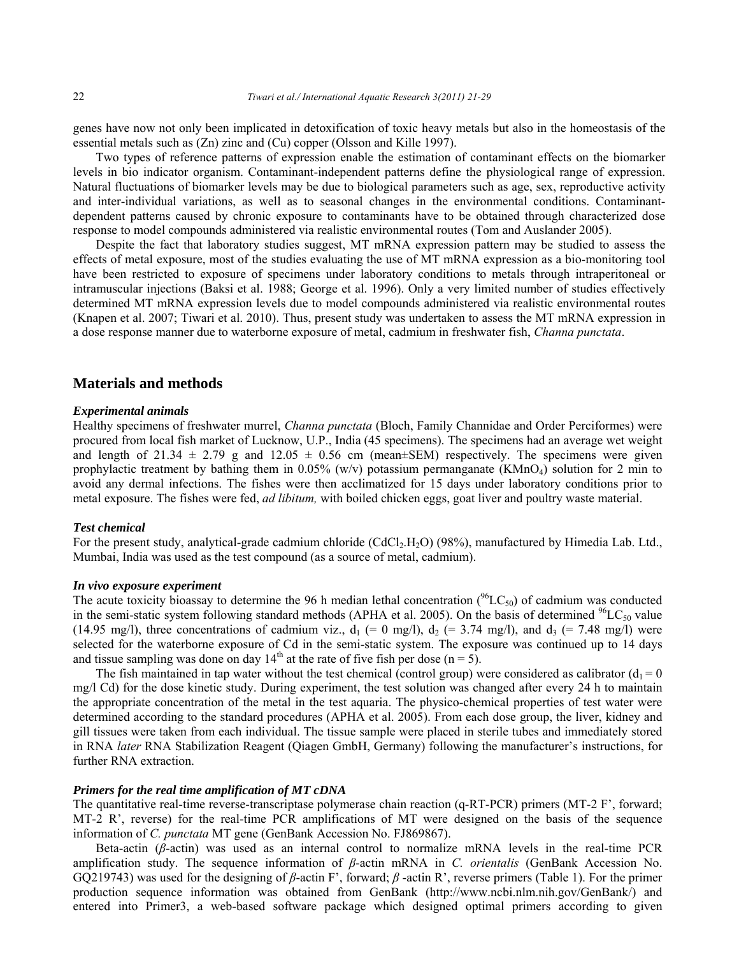genes have now not only been implicated in detoxification of toxic heavy metals but also in the homeostasis of the essential metals such as (Zn) zinc and (Cu) copper (Olsson and Kille 1997).

Two types of reference patterns of expression enable the estimation of contaminant effects on the biomarker levels in bio indicator organism. Contaminant-independent patterns define the physiological range of expression. Natural fluctuations of biomarker levels may be due to biological parameters such as age, sex, reproductive activity and inter-individual variations, as well as to seasonal changes in the environmental conditions. Contaminantdependent patterns caused by chronic exposure to contaminants have to be obtained through characterized dose response to model compounds administered via realistic environmental routes (Tom and Auslander 2005).

Despite the fact that laboratory studies suggest, MT mRNA expression pattern may be studied to assess the effects of metal exposure, most of the studies evaluating the use of MT mRNA expression as a bio-monitoring tool have been restricted to exposure of specimens under laboratory conditions to metals through intraperitoneal or intramuscular injections (Baksi et al. 1988; George et al. 1996). Only a very limited number of studies effectively determined MT mRNA expression levels due to model compounds administered via realistic environmental routes (Knapen et al. 2007; Tiwari et al. 2010). Thus, present study was undertaken to assess the MT mRNA expression in a dose response manner due to waterborne exposure of metal, cadmium in freshwater fish, *Channa punctata*.

# **Materials and methods**

#### *Experimental animals*

Healthy specimens of freshwater murrel, *Channa punctata* (Bloch, Family Channidae and Order Perciformes) were procured from local fish market of Lucknow, U.P., India (45 specimens). The specimens had an average wet weight and length of  $21.34 \pm 2.79$  g and  $12.05 \pm 0.56$  cm (mean $\pm$ SEM) respectively. The specimens were given prophylactic treatment by bathing them in  $0.05\%$  (w/v) potassium permanganate (KMnO<sub>4</sub>) solution for 2 min to avoid any dermal infections. The fishes were then acclimatized for 15 days under laboratory conditions prior to metal exposure. The fishes were fed, *ad libitum,* with boiled chicken eggs, goat liver and poultry waste material.

#### *Test chemical*

For the present study, analytical-grade cadmium chloride (CdCl<sub>2</sub>.H<sub>2</sub>O) (98%), manufactured by Himedia Lab. Ltd., Mumbai, India was used as the test compound (as a source of metal, cadmium).

#### *In vivo exposure experiment*

The acute toxicity bioassay to determine the 96 h median lethal concentration  $(^{96}LC_{50})$  of cadmium was conducted in the semi-static system following standard methods (APHA et al. 2005). On the basis of determined  $^{96}LC_{50}$  value (14.95 mg/l), three concentrations of cadmium viz.,  $d_1$  (= 0 mg/l),  $d_2$  (= 3.74 mg/l), and  $d_3$  (= 7.48 mg/l) were selected for the waterborne exposure of Cd in the semi-static system. The exposure was continued up to 14 days and tissue sampling was done on day  $14<sup>th</sup>$  at the rate of five fish per dose (n = 5).

The fish maintained in tap water without the test chemical (control group) were considered as calibrator ( $d_1 = 0$ ) mg/l Cd) for the dose kinetic study. During experiment, the test solution was changed after every 24 h to maintain the appropriate concentration of the metal in the test aquaria. The physico-chemical properties of test water were determined according to the standard procedures (APHA et al. 2005). From each dose group, the liver, kidney and gill tissues were taken from each individual. The tissue sample were placed in sterile tubes and immediately stored in RNA *later* RNA Stabilization Reagent (Qiagen GmbH, Germany) following the manufacturer's instructions, for further RNA extraction.

#### *Primers for the real time amplification of MT cDNA*

The quantitative real-time reverse-transcriptase polymerase chain reaction (q-RT-PCR) primers (MT-2 F', forward; MT-2 R', reverse) for the real-time PCR amplifications of MT were designed on the basis of the sequence information of *C. punctata* MT gene (GenBank Accession No. FJ869867).

Beta-actin (*β*-actin) was used as an internal control to normalize mRNA levels in the real-time PCR amplification study. The sequence information of *β*-actin mRNA in *C. orientalis* (GenBank Accession No. GQ219743) was used for the designing of *β*-actin F', forward; *β* -actin R', reverse primers (Table 1). For the primer production sequence information was obtained from GenBank (http://www.ncbi.nlm.nih.gov/GenBank/) and entered into Primer3, a web-based software package which designed optimal primers according to given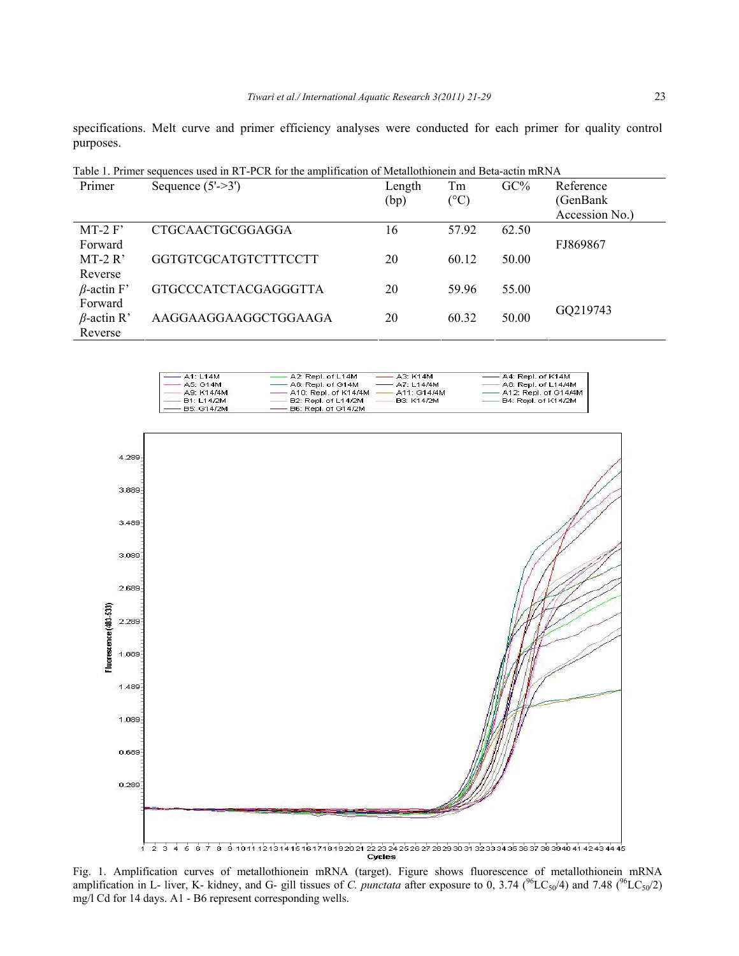specifications. Melt curve and primer efficiency analyses were conducted for each primer for quality control purposes.

| Table 1. Primer sequences used in R1-PCR for the amplification of Metanothionein and Beta-actin mRNA |                             |        |       |        |                |
|------------------------------------------------------------------------------------------------------|-----------------------------|--------|-------|--------|----------------|
| Primer                                                                                               | Sequence $(5'-3')$          | Length | Tm    | $GC\%$ | Reference      |
|                                                                                                      |                             | (bp)   | (°C)  |        | (GenBank)      |
|                                                                                                      |                             |        |       |        | Accession No.) |
| $MT-2 F'$                                                                                            | CTGCAACTGCGGAGGA            | 16     | 57.92 | 62.50  |                |
| Forward                                                                                              |                             |        |       |        | FJ869867       |
| $MT-2 R'$                                                                                            | GGTGTCGCATGTCTTTCCTT        | 20     | 60.12 | 50.00  |                |
| Reverse                                                                                              |                             |        |       |        |                |
| $\beta$ -actin F'                                                                                    | <b>GTGCCCATCTACGAGGGTTA</b> | 20     | 59.96 | 55.00  |                |
| Forward                                                                                              |                             |        |       |        | GQ219743       |
| $\beta$ -actin R'                                                                                    | AAGGAAGGAAGGCTGGAAGA        | 20     | 60.32 | 50.00  |                |
| Reverse                                                                                              |                             |        |       |        |                |

Table 1. Primer sequences used in RT-PCR for the amplification of Metallothionein and Beta-actin mRNA

| $-$ A <sub>1</sub> : L <sub>14</sub> M | $-$ A2: Repl. of L14M   | $\longrightarrow$ A3: K14M | - A4: Repl. of K14M                   |
|----------------------------------------|-------------------------|----------------------------|---------------------------------------|
| A5: G14M                               | - A6: Repl. of G14M     | $- A7: 114/4M$             | $-$ A8: Repl. of L14/4M               |
| A9: K14/4M                             | —— A10: Repl. of K14/4M | $-$ A11: G14/4M            | - A12: Repl. of G14/4M                |
| —— B1: L14/2M                          | $-$ B2: Repl. of L14/2M | B3: K14/2M                 | $\longrightarrow$ B4: Repl. of K14/2M |
| $-$ B5: G14/2M                         | $-$ B6: Repl. of G14/2M |                            |                                       |



Fig. 1. Amplification curves of metallothionein mRNA (target). Figure shows fluorescence of metallothionein mRNA amplification in L- liver, K- kidney, and G- gill tissues of *C. punctata* after exposure to 0, 3.74 ( $^{96}LC_{50}/4$ ) and 7.48 ( $^{96}LC_{50}/2$ ) mg/l Cd for 14 days. A1 - B6 represent corresponding wells.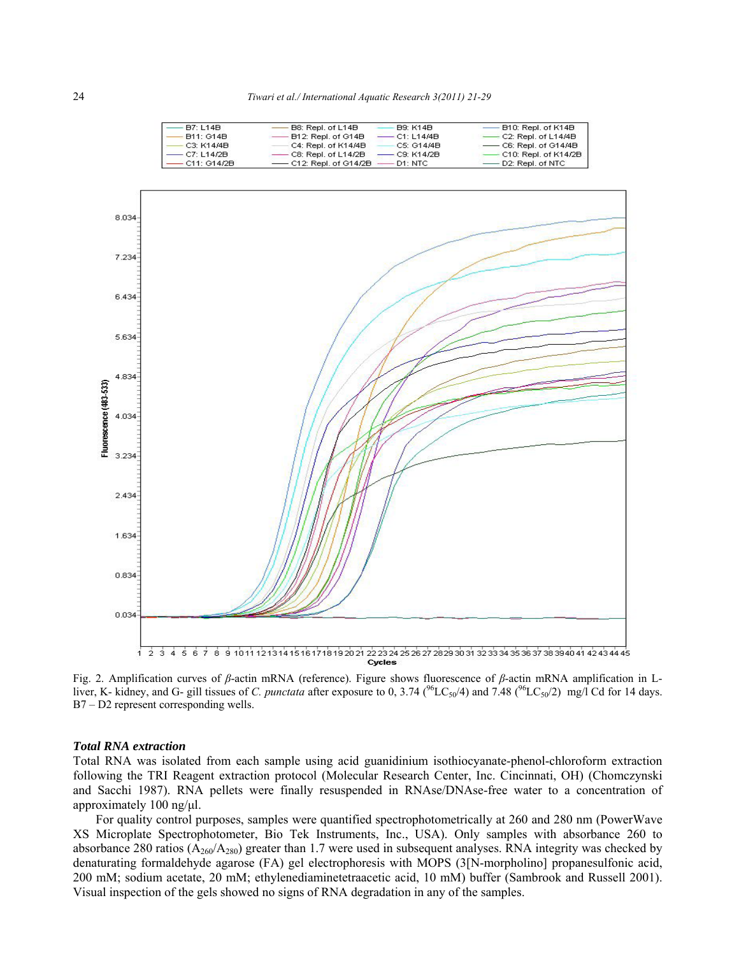| <b>B7: L14B</b>  | B8: Repl. of L14B                    | <b>B9: K14B</b> | $-$ B10: Repl. of K14B                |
|------------------|--------------------------------------|-----------------|---------------------------------------|
| <b>B11: G14B</b> | - B12: Repl. of G14B                 | — C1: L14/4B    | $\longrightarrow$ C2: Repl. of L14/4B |
| $-C3: K14/4B$    | C4: Repl. of K14/4B                  | - C5: G14/4B    | $-$ C6: Repl. of G14/4B               |
| —— C7: L14/2B    | $-$ C8: Repl. of L14/2B              | $-$ C9: K14/2B  | – C10: Repl. of K14/2B                |
| — C11: G14/2B    | $-$ C12: Repl. of G14/2B $-$ D1: NTC |                 | $\longrightarrow$ D2: Repl. of NTC    |



Fig. 2. Amplification curves of *β*-actin mRNA (reference). Figure shows fluorescence of *β*-actin mRNA amplification in Lliver, K- kidney, and G- gill tissues of *C. punctata* after exposure to 0, 3.74 ( $^{96}LC_{50}/4$ ) and 7.48 ( $^{96}LC_{50}/2$ ) mg/l Cd for 14 days. B7 – D2 represent corresponding wells.

### *Total RNA extraction*

Total RNA was isolated from each sample using acid guanidinium isothiocyanate-phenol-chloroform extraction following the TRI Reagent extraction protocol (Molecular Research Center, Inc. Cincinnati, OH) (Chomczynski and Sacchi 1987). RNA pellets were finally resuspended in RNAse/DNAse-free water to a concentration of approximately 100 ng/μl.

For quality control purposes, samples were quantified spectrophotometrically at 260 and 280 nm (PowerWave XS Microplate Spectrophotometer, Bio Tek Instruments, Inc., USA). Only samples with absorbance 260 to absorbance 280 ratios ( $A_{260}/A_{280}$ ) greater than 1.7 were used in subsequent analyses. RNA integrity was checked by denaturating formaldehyde agarose (FA) gel electrophoresis with MOPS (3[N-morpholino] propanesulfonic acid, 200 mM; sodium acetate, 20 mM; ethylenediaminetetraacetic acid, 10 mM) buffer (Sambrook and Russell 2001). Visual inspection of the gels showed no signs of RNA degradation in any of the samples.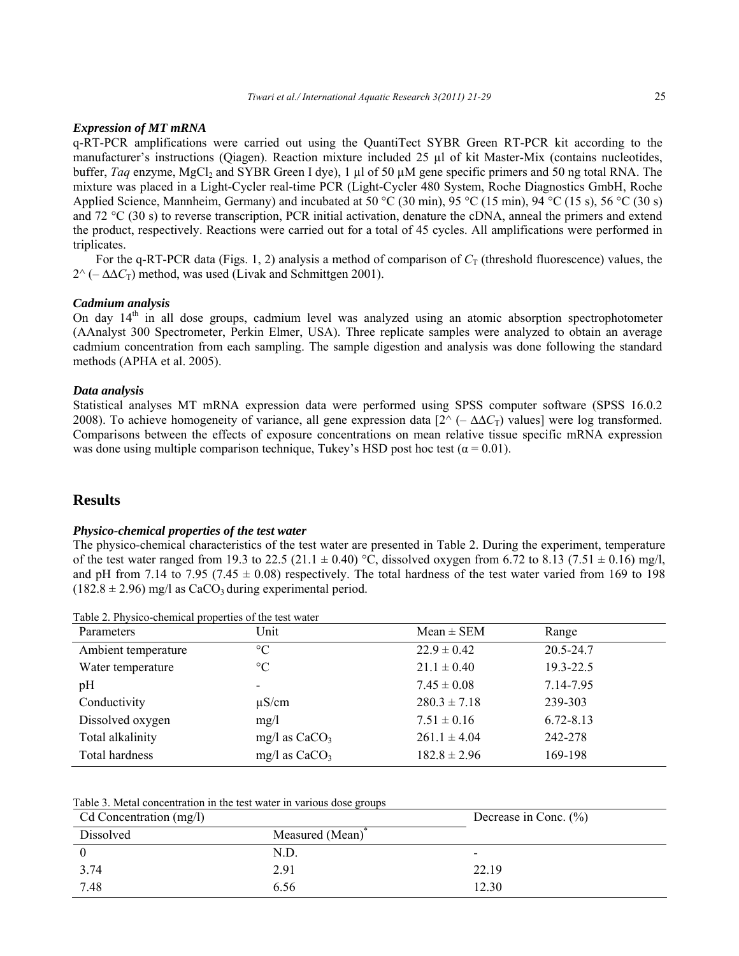#### *Expression of MT mRNA*

q-RT-PCR amplifications were carried out using the QuantiTect SYBR Green RT-PCR kit according to the manufacturer's instructions (Qiagen). Reaction mixture included 25 µl of kit Master-Mix (contains nucleotides, buffer, *Taq* enzyme, MgCl<sub>2</sub> and SYBR Green I dye), 1 µl of 50 µM gene specific primers and 50 ng total RNA. The mixture was placed in a Light-Cycler real-time PCR (Light-Cycler 480 System, Roche Diagnostics GmbH, Roche Applied Science, Mannheim, Germany) and incubated at 50 °C (30 min), 95 °C (15 min), 94 °C (15 s), 56 °C (30 s) and 72 °C (30 s) to reverse transcription, PCR initial activation, denature the cDNA, anneal the primers and extend the product, respectively. Reactions were carried out for a total of 45 cycles. All amplifications were performed in triplicates.

For the q-RT-PCR data (Figs. 1, 2) analysis a method of comparison of  $C_T$  (threshold fluorescence) values, the  $2^{\wedge}$  (–  $\Delta \Delta C_{\text{T}}$ ) method, was used (Livak and Schmittgen 2001).

### *Cadmium analysis*

On day  $14<sup>th</sup>$  in all dose groups, cadmium level was analyzed using an atomic absorption spectrophotometer (AAnalyst 300 Spectrometer, Perkin Elmer, USA). Three replicate samples were analyzed to obtain an average cadmium concentration from each sampling. The sample digestion and analysis was done following the standard methods (APHA et al. 2005).

## *Data analysis*

Statistical analyses MT mRNA expression data were performed using SPSS computer software (SPSS 16.0.2 2008). To achieve homogeneity of variance, all gene expression data  $[2^{\wedge} (-\Delta \Delta C_{T})$  values] were log transformed. Comparisons between the effects of exposure concentrations on mean relative tissue specific mRNA expression was done using multiple comparison technique, Tukey's HSD post hoc test ( $\alpha = 0.01$ ).

# **Results**

#### *Physico-chemical properties of the test water*

The physico-chemical characteristics of the test water are presented in Table 2. During the experiment, temperature of the test water ranged from 19.3 to 22.5 (21.1  $\pm$  0.40) °C, dissolved oxygen from 6.72 to 8.13 (7.51  $\pm$  0.16) mg/l, and pH from 7.14 to 7.95 (7.45  $\pm$  0.08) respectively. The total hardness of the test water varied from 169 to 198  $(182.8 \pm 2.96)$  mg/l as CaCO<sub>3</sub> during experimental period.

| Parameters          | Unit            | $Mean \pm SEM$   | Range         |
|---------------------|-----------------|------------------|---------------|
| Ambient temperature | $\rm ^{\circ}C$ | $22.9 \pm 0.42$  | 20.5-24.7     |
| Water temperature   | $\rm ^{\circ}C$ | $21.1 \pm 0.40$  | 19.3-22.5     |
| pH                  |                 | $7.45 \pm 0.08$  | 7.14-7.95     |
| Conductivity        | $\mu$ S/cm      | $280.3 \pm 7.18$ | 239-303       |
| Dissolved oxygen    | mg/l            | $7.51 \pm 0.16$  | $6.72 - 8.13$ |
| Total alkalinity    | mg/l as $CaCO3$ | $261.1 \pm 4.04$ | 242-278       |
| Total hardness      | mg/l as $CaCO3$ | $182.8 \pm 2.96$ | 169-198       |

Table 2. Physico-chemical properties of the test water

# Table 3. Metal concentration in the test water in various dose groups

| Cd Concentration (mg/l) |                              | Decrease in Conc. $(\% )$ |  |
|-------------------------|------------------------------|---------------------------|--|
| Dissolved               | Measured (Mean) <sup>*</sup> |                           |  |
|                         | N.D.                         | -                         |  |
| 3.74                    | 2.91                         | 22.19                     |  |
| 7.48                    | 6.56                         | 12.30                     |  |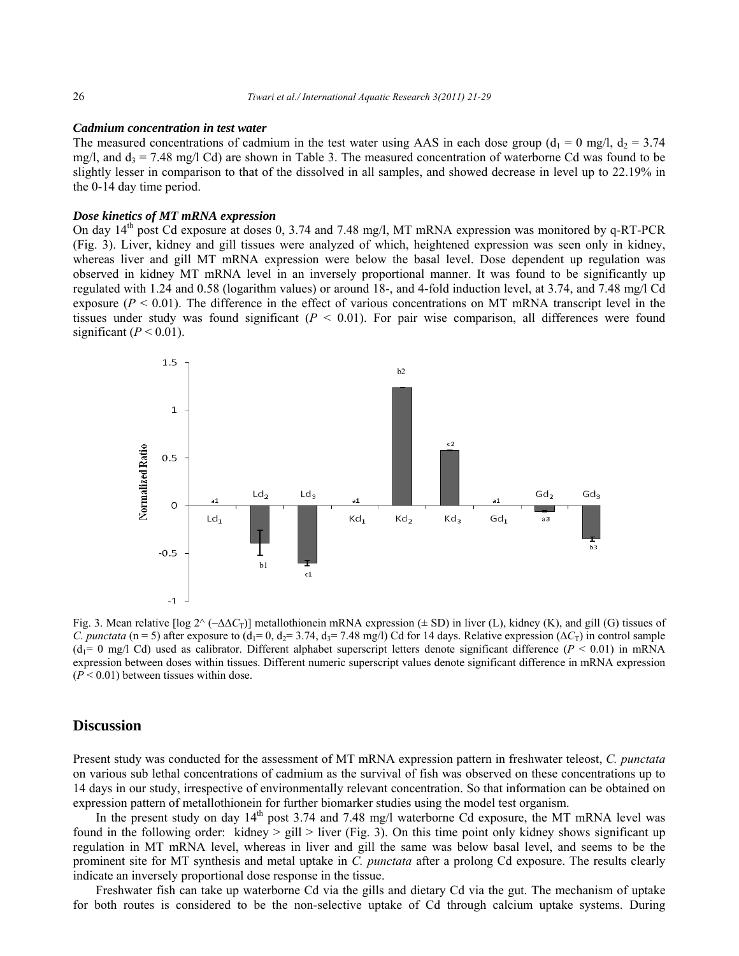#### *Cadmium concentration in test water*

The measured concentrations of cadmium in the test water using AAS in each dose group ( $d_1 = 0$  mg/l,  $d_2 = 3.74$ ) mg/l, and  $d_3 = 7.48$  mg/l Cd) are shown in Table 3. The measured concentration of waterborne Cd was found to be slightly lesser in comparison to that of the dissolved in all samples, and showed decrease in level up to 22.19% in the 0-14 day time period.

#### *Dose kinetics of MT mRNA expression*

On day  $14<sup>th</sup>$  post Cd exposure at doses 0, 3.74 and 7.48 mg/l, MT mRNA expression was monitored by q-RT-PCR (Fig. 3). Liver, kidney and gill tissues were analyzed of which, heightened expression was seen only in kidney, whereas liver and gill MT mRNA expression were below the basal level. Dose dependent up regulation was observed in kidney MT mRNA level in an inversely proportional manner. It was found to be significantly up regulated with 1.24 and 0.58 (logarithm values) or around 18-, and 4-fold induction level, at 3.74, and 7.48 mg/l Cd exposure ( $P \le 0.01$ ). The difference in the effect of various concentrations on MT mRNA transcript level in the tissues under study was found significant  $(P < 0.01)$ . For pair wise comparison, all differences were found significant  $(P < 0.01)$ .



Fig. 3. Mean relative [log 2^ (–∆∆*C*T)] metallothionein mRNA expression (± SD) in liver (L), kidney (K), and gill (G) tissues of *C. punctata* (n = 5) after exposure to (d<sub>1</sub>= 0, d<sub>2</sub>= 3.74, d<sub>3</sub>= 7.48 mg/l) Cd for 14 days. Relative expression ( $\Delta C_T$ ) in control sample  $(d_1= 0 \text{ mg/l Cd})$  used as calibrator. Different alphabet superscript letters denote significant difference ( $P < 0.01$ ) in mRNA expression between doses within tissues. Different numeric superscript values denote significant difference in mRNA expression  $(P < 0.01)$  between tissues within dose.

# **Discussion**

Present study was conducted for the assessment of MT mRNA expression pattern in freshwater teleost, *C. punctata*  on various sub lethal concentrations of cadmium as the survival of fish was observed on these concentrations up to 14 days in our study, irrespective of environmentally relevant concentration. So that information can be obtained on expression pattern of metallothionein for further biomarker studies using the model test organism.

In the present study on day 14<sup>th</sup> post 3.74 and 7.48 mg/l waterborne Cd exposure, the MT mRNA level was found in the following order: kidney  $>$  gill  $>$  liver (Fig. 3). On this time point only kidney shows significant up regulation in MT mRNA level, whereas in liver and gill the same was below basal level, and seems to be the prominent site for MT synthesis and metal uptake in *C. punctata* after a prolong Cd exposure. The results clearly indicate an inversely proportional dose response in the tissue.

Freshwater fish can take up waterborne Cd via the gills and dietary Cd via the gut. The mechanism of uptake for both routes is considered to be the non-selective uptake of Cd through calcium uptake systems. During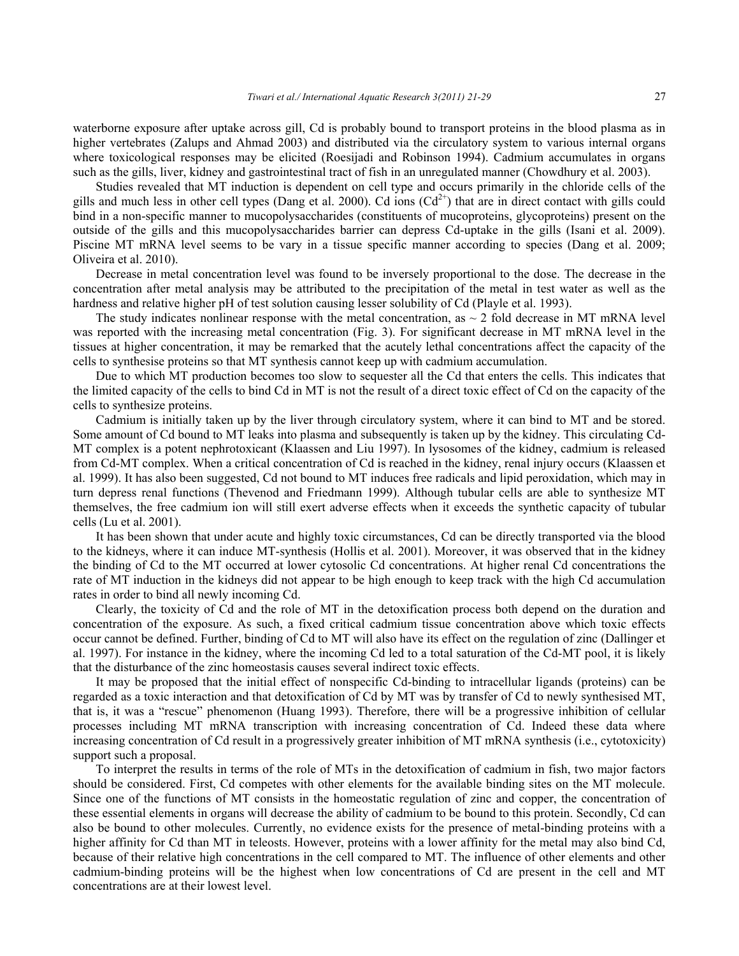waterborne exposure after uptake across gill, Cd is probably bound to transport proteins in the blood plasma as in higher vertebrates (Zalups and Ahmad 2003) and distributed via the circulatory system to various internal organs where toxicological responses may be elicited (Roesijadi and Robinson 1994). Cadmium accumulates in organs such as the gills, liver, kidney and gastrointestinal tract of fish in an unregulated manner (Chowdhury et al. 2003).

Studies revealed that MT induction is dependent on cell type and occurs primarily in the chloride cells of the gills and much less in other cell types (Dang et al. 2000). Cd ions  $(Cd<sup>2+</sup>)$  that are in direct contact with gills could bind in a non-specific manner to mucopolysaccharides (constituents of mucoproteins, glycoproteins) present on the outside of the gills and this mucopolysaccharides barrier can depress Cd-uptake in the gills (Isani et al. 2009). Piscine MT mRNA level seems to be vary in a tissue specific manner according to species (Dang et al. 2009; Oliveira et al. 2010).

Decrease in metal concentration level was found to be inversely proportional to the dose. The decrease in the concentration after metal analysis may be attributed to the precipitation of the metal in test water as well as the hardness and relative higher pH of test solution causing lesser solubility of Cd (Playle et al. 1993).

The study indicates nonlinear response with the metal concentration, as  $\sim$  2 fold decrease in MT mRNA level was reported with the increasing metal concentration (Fig. 3). For significant decrease in MT mRNA level in the tissues at higher concentration, it may be remarked that the acutely lethal concentrations affect the capacity of the cells to synthesise proteins so that MT synthesis cannot keep up with cadmium accumulation.

Due to which MT production becomes too slow to sequester all the Cd that enters the cells. This indicates that the limited capacity of the cells to bind Cd in MT is not the result of a direct toxic effect of Cd on the capacity of the cells to synthesize proteins.

Cadmium is initially taken up by the liver through circulatory system, where it can bind to MT and be stored. Some amount of Cd bound to MT leaks into plasma and subsequently is taken up by the kidney. This circulating Cd-MT complex is a potent nephrotoxicant (Klaassen and Liu 1997). In lysosomes of the kidney, cadmium is released from Cd-MT complex. When a critical concentration of Cd is reached in the kidney, renal injury occurs (Klaassen et al. 1999). It has also been suggested, Cd not bound to MT induces free radicals and lipid peroxidation, which may in turn depress renal functions (Thevenod and Friedmann 1999). Although tubular cells are able to synthesize MT themselves, the free cadmium ion will still exert adverse effects when it exceeds the synthetic capacity of tubular cells (Lu et al. 2001).

It has been shown that under acute and highly toxic circumstances, Cd can be directly transported via the blood to the kidneys, where it can induce MT-synthesis (Hollis et al. 2001). Moreover, it was observed that in the kidney the binding of Cd to the MT occurred at lower cytosolic Cd concentrations. At higher renal Cd concentrations the rate of MT induction in the kidneys did not appear to be high enough to keep track with the high Cd accumulation rates in order to bind all newly incoming Cd.

Clearly, the toxicity of Cd and the role of MT in the detoxification process both depend on the duration and concentration of the exposure. As such, a fixed critical cadmium tissue concentration above which toxic effects occur cannot be defined. Further, binding of Cd to MT will also have its effect on the regulation of zinc (Dallinger et al. 1997). For instance in the kidney, where the incoming Cd led to a total saturation of the Cd-MT pool, it is likely that the disturbance of the zinc homeostasis causes several indirect toxic effects.

It may be proposed that the initial effect of nonspecific Cd-binding to intracellular ligands (proteins) can be regarded as a toxic interaction and that detoxification of Cd by MT was by transfer of Cd to newly synthesised MT, that is, it was a "rescue" phenomenon (Huang 1993). Therefore, there will be a progressive inhibition of cellular processes including MT mRNA transcription with increasing concentration of Cd. Indeed these data where increasing concentration of Cd result in a progressively greater inhibition of MT mRNA synthesis (i.e., cytotoxicity) support such a proposal.

To interpret the results in terms of the role of MTs in the detoxification of cadmium in fish, two major factors should be considered. First, Cd competes with other elements for the available binding sites on the MT molecule. Since one of the functions of MT consists in the homeostatic regulation of zinc and copper, the concentration of these essential elements in organs will decrease the ability of cadmium to be bound to this protein. Secondly, Cd can also be bound to other molecules. Currently, no evidence exists for the presence of metal-binding proteins with a higher affinity for Cd than MT in teleosts. However, proteins with a lower affinity for the metal may also bind Cd, because of their relative high concentrations in the cell compared to MT. The influence of other elements and other cadmium-binding proteins will be the highest when low concentrations of Cd are present in the cell and MT concentrations are at their lowest level.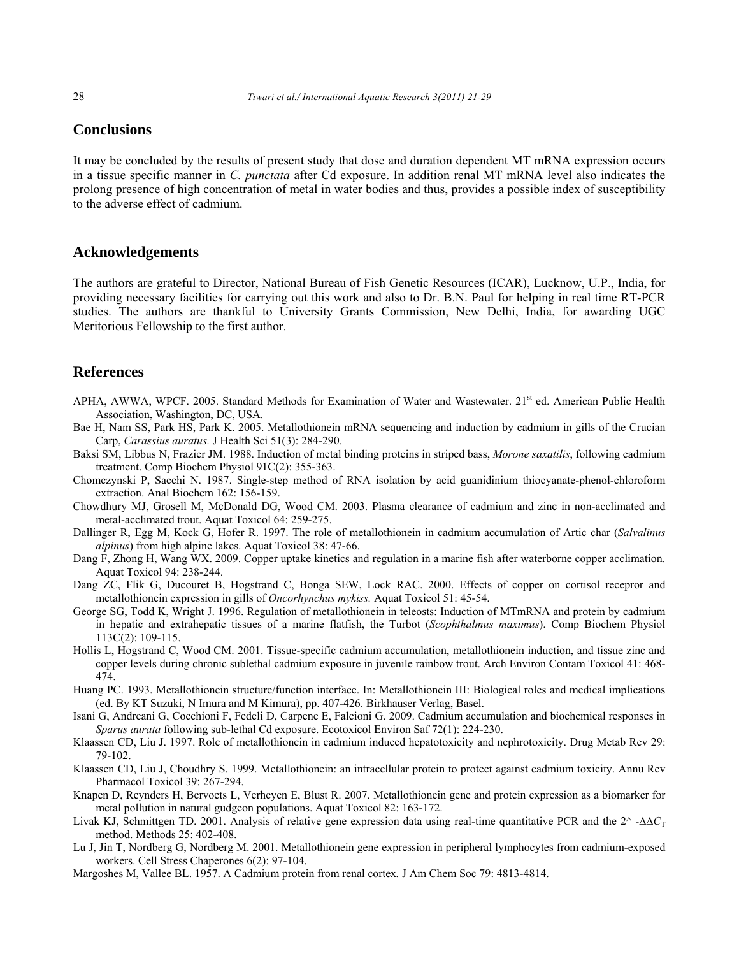# **Conclusions**

It may be concluded by the results of present study that dose and duration dependent MT mRNA expression occurs in a tissue specific manner in *C. punctata* after Cd exposure. In addition renal MT mRNA level also indicates the prolong presence of high concentration of metal in water bodies and thus, provides a possible index of susceptibility to the adverse effect of cadmium.

# **Acknowledgements**

The authors are grateful to Director, National Bureau of Fish Genetic Resources (ICAR), Lucknow, U.P., India, for providing necessary facilities for carrying out this work and also to Dr. B.N. Paul for helping in real time RT-PCR studies. The authors are thankful to University Grants Commission, New Delhi, India, for awarding UGC Meritorious Fellowship to the first author.

# **References**

- APHA, AWWA, WPCF. 2005. Standard Methods for Examination of Water and Wastewater. 21<sup>st</sup> ed. American Public Health Association, Washington, DC, USA.
- Bae H, Nam SS, Park HS, Park K. 2005. Metallothionein mRNA sequencing and induction by cadmium in gills of the Crucian Carp, *Carassius auratus.* J Health Sci 51(3): 284-290.
- Baksi SM, Libbus N, Frazier JM. 1988. Induction of metal binding proteins in striped bass, *Morone saxatilis*, following cadmium treatment. Comp Biochem Physiol 91C(2): 355-363.
- Chomczynski P, Sacchi N. 1987. Single-step method of RNA isolation by acid guanidinium thiocyanate-phenol-chloroform extraction. Anal Biochem 162: 156-159.
- Chowdhury MJ, Grosell M, McDonald DG, Wood CM. 2003. Plasma clearance of cadmium and zinc in non-acclimated and metal-acclimated trout. Aquat Toxicol 64: 259-275.
- Dallinger R, Egg M, Kock G, Hofer R. 1997. The role of metallothionein in cadmium accumulation of Artic char (*Salvalinus alpinus*) from high alpine lakes. Aquat Toxicol 38: 47-66.
- Dang F, Zhong H, Wang WX. 2009. Copper uptake kinetics and regulation in a marine fish after waterborne copper acclimation. Aquat Toxicol 94: 238-244.
- Dang ZC, Flik G, Ducouret B, Hogstrand C, Bonga SEW, Lock RAC. 2000. Effects of copper on cortisol recepror and metallothionein expression in gills of *Oncorhynchus mykiss.* Aquat Toxicol 51: 45-54.
- George SG, Todd K, Wright J. 1996. Regulation of metallothionein in teleosts: Induction of MTmRNA and protein by cadmium in hepatic and extrahepatic tissues of a marine flatfish, the Turbot (*Scophthalmus maximus*). Comp Biochem Physiol 113C(2): 109-115.
- Hollis L, Hogstrand C, Wood CM. 2001. Tissue-specific cadmium accumulation, metallothionein induction, and tissue zinc and copper levels during chronic sublethal cadmium exposure in juvenile rainbow trout. Arch Environ Contam Toxicol 41: 468- 474.
- Huang PC. 1993. Metallothionein structure/function interface. In: Metallothionein III: Biological roles and medical implications (ed. By KT Suzuki, N Imura and M Kimura), pp. 407-426. Birkhauser Verlag, Basel.
- Isani G, Andreani G, Cocchioni F, Fedeli D, Carpene E, Falcioni G. 2009. Cadmium accumulation and biochemical responses in *Sparus aurata* following sub-lethal Cd exposure. Ecotoxicol Environ Saf 72(1): 224-230.
- Klaassen CD, Liu J. 1997. Role of metallothionein in cadmium induced hepatotoxicity and nephrotoxicity. Drug Metab Rev 29: 79-102.
- Klaassen CD, Liu J, Choudhry S. 1999. Metallothionein: an intracellular protein to protect against cadmium toxicity. Annu Rev Pharmacol Toxicol 39: 267-294.
- Knapen D, Reynders H, Bervoets L, Verheyen E, Blust R. 2007. Metallothionein gene and protein expression as a biomarker for metal pollution in natural gudgeon populations. Aquat Toxicol 82: 163-172.
- Livak KJ, Schmittgen TD. 2001. Analysis of relative gene expression data using real-time quantitative PCR and the 2^ -∆∆*C*<sup>T</sup> method. Methods 25: 402-408.
- Lu J, Jin T, Nordberg G, Nordberg M. 2001. Metallothionein gene expression in peripheral lymphocytes from cadmium-exposed workers. Cell Stress Chaperones 6(2): 97-104.
- Margoshes M, Vallee BL. 1957. A Cadmium protein from renal cortex*.* J Am Chem Soc 79: 4813-4814.